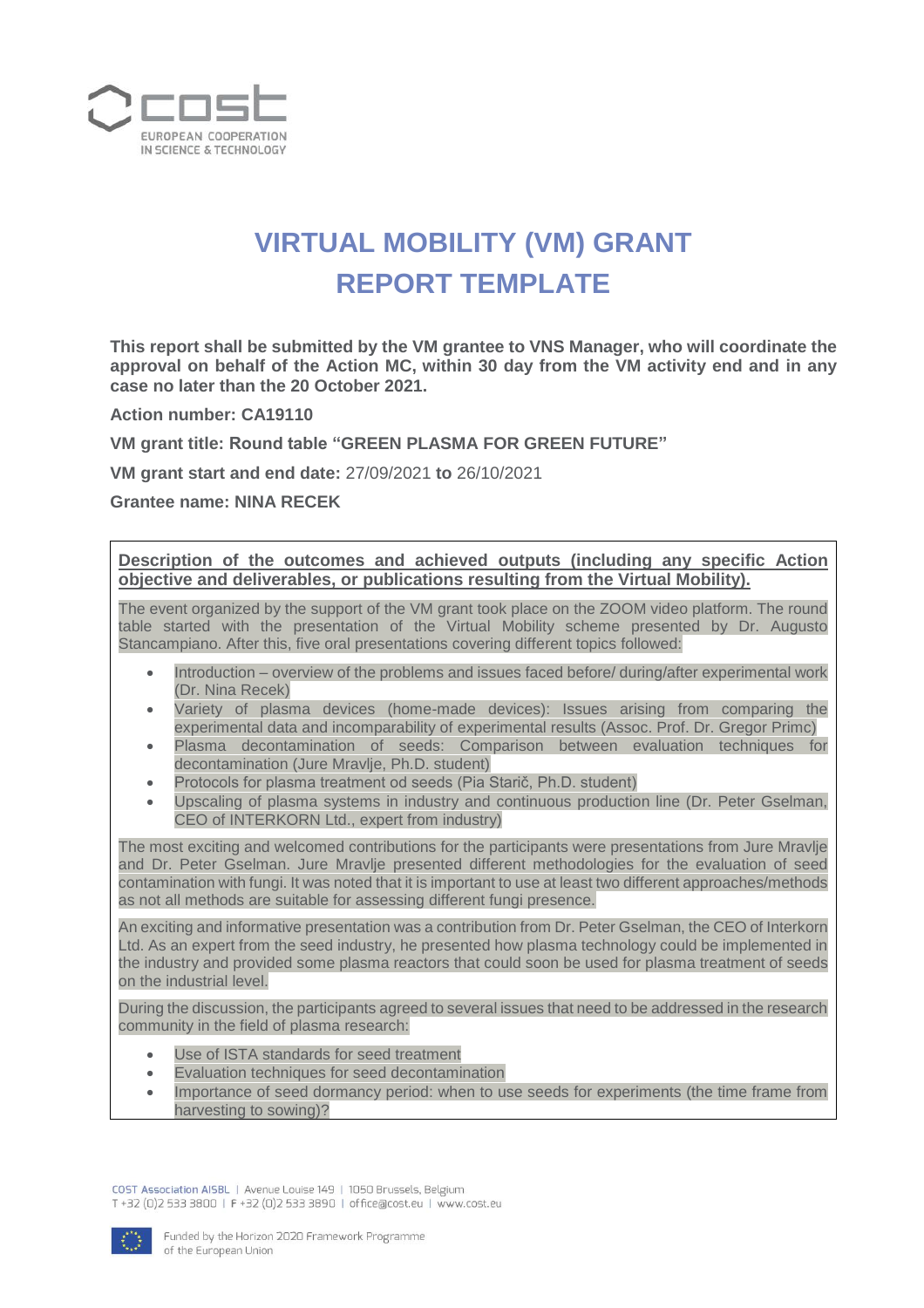

## **VIRTUAL MOBILITY (VM) GRANT REPORT TEMPLATE**

**This report shall be submitted by the VM grantee to VNS Manager, who will coordinate the approval on behalf of the Action MC, within 30 day from the VM activity end and in any case no later than the 20 October 2021.**

**Action number: CA19110**

**VM grant title: Round table "GREEN PLASMA FOR GREEN FUTURE"**

**VM grant start and end date:** 27/09/2021 **to** 26/10/2021

**Grantee name: NINA RECEK**

**Description of the outcomes and achieved outputs (including any specific Action objective and deliverables, or publications resulting from the Virtual Mobility).**

The event organized by the support of the VM grant took place on the ZOOM video platform. The round table started with the presentation of the Virtual Mobility scheme presented by Dr. Augusto Stancampiano. After this, five oral presentations covering different topics followed:

- Introduction overview of the problems and issues faced before/ during/after experimental work (Dr. Nina Recek)
- Variety of plasma devices (home-made devices): Issues arising from comparing the experimental data and incomparability of experimental results (Assoc. Prof. Dr. Gregor Primc)
- Plasma decontamination of seeds: Comparison between evaluation techniques for decontamination (Jure Mravlje, Ph.D. student)
- Protocols for plasma treatment od seeds (Pia Starič, Ph.D. student)
- Upscaling of plasma systems in industry and continuous production line (Dr. Peter Gselman, CEO of INTERKORN Ltd., expert from industry)

The most exciting and welcomed contributions for the participants were presentations from Jure Mravlje and Dr. Peter Gselman. Jure Mravlje presented different methodologies for the evaluation of seed contamination with fungi. It was noted that it is important to use at least two different approaches/methods as not all methods are suitable for assessing different fungi presence.

An exciting and informative presentation was a contribution from Dr. Peter Gselman, the CEO of Interkorn Ltd. As an expert from the seed industry, he presented how plasma technology could be implemented in the industry and provided some plasma reactors that could soon be used for plasma treatment of seeds on the industrial level.

During the discussion, the participants agreed to several issues that need to be addressed in the research community in the field of plasma research:

- Use of ISTA standards for seed treatment
- Evaluation techniques for seed decontamination
- Importance of seed dormancy period: when to use seeds for experiments (the time frame from harvesting to sowing)?

COST Association AISBL | Avenue Louise 149 | 1050 Brussels, Belgium T+32 (0)2 533 3800 | F+32 (0)2 533 3890 | office@cost.eu | www.cost.eu